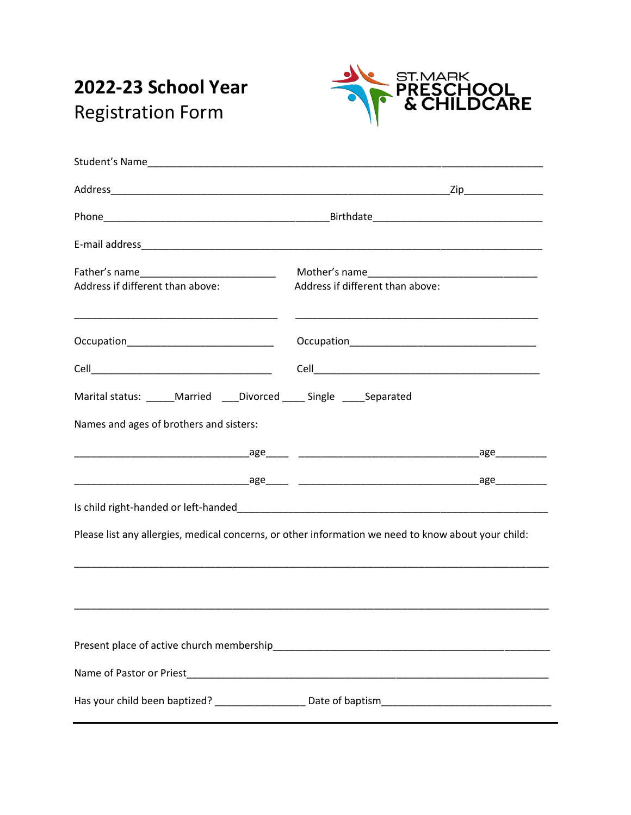# 2022-23 School Year **Registration Form**



| Address if different than above:                                      | Address if different than above:                                                                     |
|-----------------------------------------------------------------------|------------------------------------------------------------------------------------------------------|
| Occupation________________________________                            |                                                                                                      |
|                                                                       |                                                                                                      |
| Marital status: _____Married ____Divorced _____ Single _____Separated |                                                                                                      |
| Names and ages of brothers and sisters:                               |                                                                                                      |
|                                                                       |                                                                                                      |
|                                                                       |                                                                                                      |
|                                                                       |                                                                                                      |
|                                                                       | Please list any allergies, medical concerns, or other information we need to know about your child:  |
|                                                                       |                                                                                                      |
|                                                                       |                                                                                                      |
|                                                                       |                                                                                                      |
|                                                                       |                                                                                                      |
|                                                                       | Has your child been baptized? _____________________ Date of baptism_________________________________ |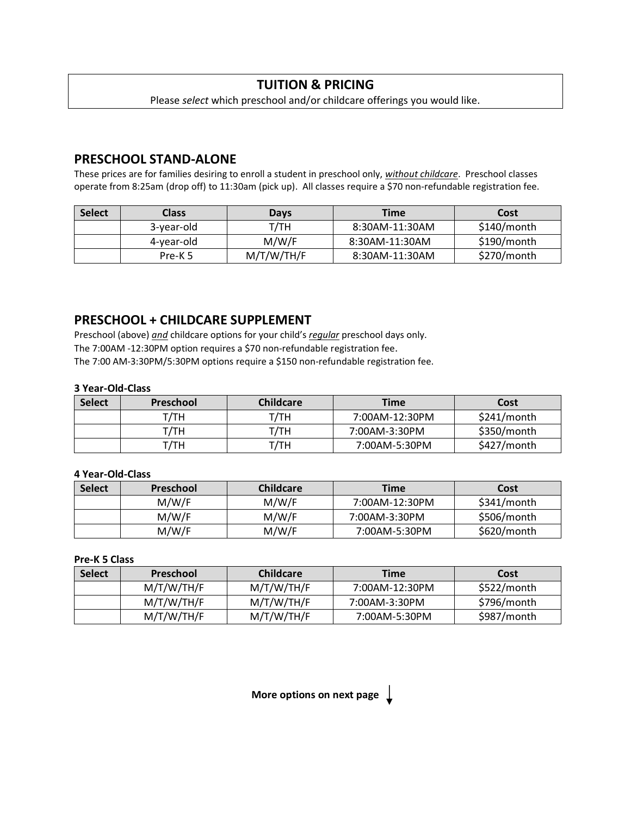# **TUITION & PRICING**

### Please *select* which preschool and/or childcare offerings you would like.

## **PRESCHOOL STAND-ALONE**

These prices are for families desiring to enroll a student in preschool only, *without childcare*. Preschool classes operate from 8:25am (drop off) to 11:30am (pick up). All classes require a \$70 non-refundable registration fee.

| <b>Select</b> | Class              | <b>Days</b> | <b>Time</b>    | Cost        |
|---------------|--------------------|-------------|----------------|-------------|
|               | 3-year-old         | T/TH        | 8:30AM-11:30AM | \$140/month |
|               | 4-year-old         | M/W/F       | 8:30AM-11:30AM | \$190/month |
|               | Pre-K <sub>5</sub> | M/T/W/TH/F  | 8:30AM-11:30AM | \$270/month |

## **PRESCHOOL + CHILDCARE SUPPLEMENT**

Preschool (above) *and* childcare options for your child's *regular* preschool days only. The 7:00AM -12:30PM option requires a \$70 non-refundable registration fee. The 7:00 AM-3:30PM/5:30PM options require a \$150 non-refundable registration fee.

#### **3 Year-Old-Class**

| <b>Select</b> | Preschool | <b>Childcare</b> | <b>Time</b>    | Cost        |
|---------------|-----------|------------------|----------------|-------------|
|               | т/тн      | т/тн             | 7:00AM-12:30PM | \$241/month |
|               | т/тн      | т/тн             | 7:00AM-3:30PM  | \$350/month |
|               | т/тн      | ⊺/ТН             | 7:00AM-5:30PM  | \$427/month |

#### **4 Year-Old-Class**

| <b>Select</b> | <b>Preschool</b> | <b>Childcare</b> | <b>Time</b>    | Cost        |
|---------------|------------------|------------------|----------------|-------------|
|               | M/W/F            | M/W/F            | 7:00AM-12:30PM | \$341/month |
|               | M/W/F            | M/W/F            | 7:00AM-3:30PM  | \$506/month |
|               | M/W/F            | M/W/F            | 7:00AM-5:30PM  | \$620/month |

**Pre-K 5 Class**

| <b>Select</b> | <b>Preschool</b> | <b>Childcare</b> | <b>Time</b>    | Cost        |
|---------------|------------------|------------------|----------------|-------------|
|               | M/T/W/TH/F       | M/T/W/TH/F       | 7:00AM-12:30PM | \$522/month |
|               | M/T/W/TH/F       | M/T/W/TH/F       | 7:00AM-3:30PM  | \$796/month |
|               | M/T/W/TH/F       | M/T/W/TH/F       | 7:00AM-5:30PM  | \$987/month |

**More options on next page**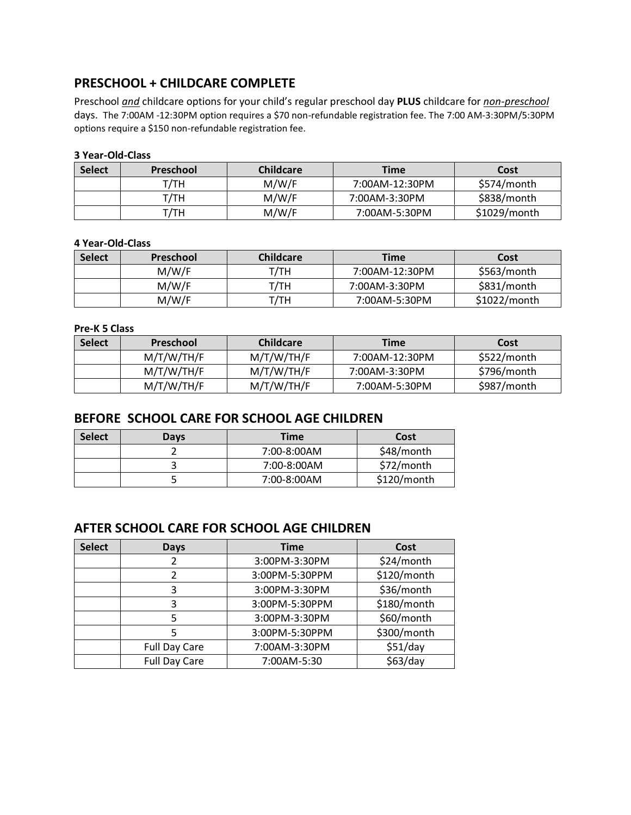# **PRESCHOOL + CHILDCARE COMPLETE**

Preschool *and* childcare options for your child's regular preschool day **PLUS** childcare for *non-preschool*  days. The 7:00AM -12:30PM option requires a \$70 non-refundable registration fee. The 7:00 AM-3:30PM/5:30PM options require a \$150 non-refundable registration fee.

### **3 Year-Old-Class**

| <b>Select</b> | Preschool | <b>Childcare</b> | <b>Time</b>    | Cost           |
|---------------|-----------|------------------|----------------|----------------|
|               | т/тн      | M/W/F            | 7:00AM-12:30PM | \$574/month    |
|               | т/тн      | M/W/F            | 7:00AM-3:30PM  | \$838/month    |
|               | T/TH      | M/W/F            | 7:00AM-5:30PM  | $$1029/m$ onth |

#### **4 Year-Old-Class**

| <b>Select</b> | <b>Preschool</b> | <b>Childcare</b> | <b>Time</b>    | Cost           |
|---------------|------------------|------------------|----------------|----------------|
|               | M/W/F            | т/тн             | 7:00AM-12:30PM | \$563/month    |
|               | M/W/F            | T/TH             | 7:00AM-3:30PM  | \$831/month    |
|               | M/W/F            | T/TH             | 7:00AM-5:30PM  | $$1022/m$ onth |

### **Pre-K 5 Class**

| <b>Select</b> | <b>Preschool</b> | <b>Childcare</b> | <b>Time</b>    | Cost        |
|---------------|------------------|------------------|----------------|-------------|
|               | M/T/W/TH/F       | M/T/W/TH/F       | 7:00AM-12:30PM | \$522/month |
|               | M/T/W/TH/F       | M/T/W/TH/F       | 7:00AM-3:30PM  | \$796/month |
|               | M/T/W/TH/F       | M/T/W/TH/F       | 7:00AM-5:30PM  | \$987/month |

### **BEFORE SCHOOL CARE FOR SCHOOL AGE CHILDREN**

| <b>Select</b> | Days | Time        | Cost        |
|---------------|------|-------------|-------------|
|               |      | 7:00-8:00AM | \$48/month  |
|               |      | 7:00-8:00AM | \$72/month  |
|               |      | 7:00-8:00AM | \$120/month |

## **AFTER SCHOOL CARE FOR SCHOOL AGE CHILDREN**

| <b>Select</b> | Days                 | <b>Time</b>    | Cost        |
|---------------|----------------------|----------------|-------------|
|               |                      | 3:00PM-3:30PM  | \$24/month  |
|               |                      | 3:00PM-5:30PPM | \$120/month |
|               | 3                    | 3:00PM-3:30PM  | \$36/month  |
|               | 3                    | 3:00PM-5:30PPM | \$180/month |
|               | 5                    | 3:00PM-3:30PM  | \$60/month  |
|               |                      | 3:00PM-5:30PPM | \$300/month |
|               | <b>Full Day Care</b> | 7:00AM-3:30PM  | \$51/day    |
|               | <b>Full Day Care</b> | 7:00AM-5:30    | \$63/day    |